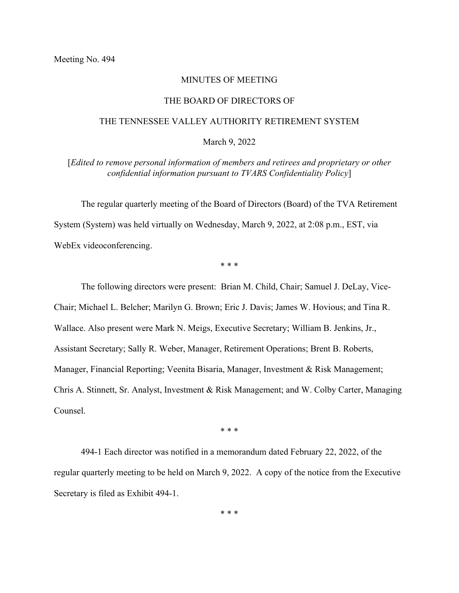## MINUTES OF MEETING

## THE BOARD OF DIRECTORS OF

## THE TENNESSEE VALLEY AUTHORITY RETIREMENT SYSTEM

## March 9, 2022

[*Edited to remove personal information of members and retirees and proprietary or other confidential information pursuant to TVARS Confidentiality Policy*]

The regular quarterly meeting of the Board of Directors (Board) of the TVA Retirement System (System) was held virtually on Wednesday, March 9, 2022, at 2:08 p.m., EST, via WebEx videoconferencing.

\* \* \*

The following directors were present: Brian M. Child, Chair; Samuel J. DeLay, Vice-Chair; Michael L. Belcher; Marilyn G. Brown; Eric J. Davis; James W. Hovious; and Tina R. Wallace. Also present were Mark N. Meigs, Executive Secretary; William B. Jenkins, Jr., Assistant Secretary; Sally R. Weber, Manager, Retirement Operations; Brent B. Roberts, Manager, Financial Reporting; Veenita Bisaria, Manager, Investment & Risk Management; Chris A. Stinnett, Sr. Analyst, Investment & Risk Management; and W. Colby Carter, Managing Counsel.

\* \* \*

494-1 Each director was notified in a memorandum dated February 22, 2022, of the regular quarterly meeting to be held on March 9, 2022. A copy of the notice from the Executive Secretary is filed as Exhibit 494-1.

\* \* \*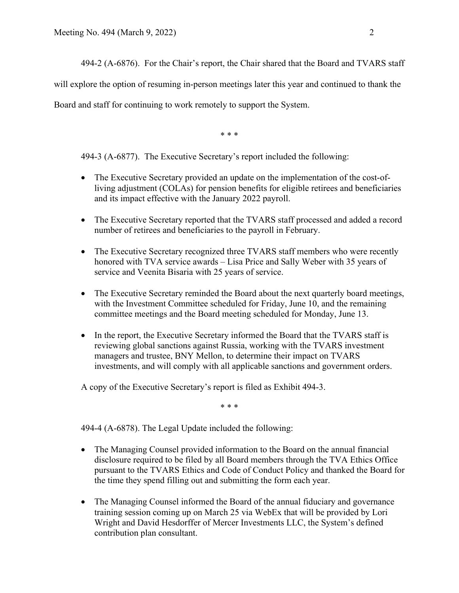494-2 (A-6876). For the Chair's report, the Chair shared that the Board and TVARS staff

will explore the option of resuming in-person meetings later this year and continued to thank the

Board and staff for continuing to work remotely to support the System.

\* \* \*

494-3 (A-6877). The Executive Secretary's report included the following:

- The Executive Secretary provided an update on the implementation of the cost-ofliving adjustment (COLAs) for pension benefits for eligible retirees and beneficiaries and its impact effective with the January 2022 payroll.
- The Executive Secretary reported that the TVARS staff processed and added a record number of retirees and beneficiaries to the payroll in February.
- The Executive Secretary recognized three TVARS staff members who were recently honored with TVA service awards – Lisa Price and Sally Weber with 35 years of service and Veenita Bisaria with 25 years of service.
- The Executive Secretary reminded the Board about the next quarterly board meetings, with the Investment Committee scheduled for Friday, June 10, and the remaining committee meetings and the Board meeting scheduled for Monday, June 13.
- In the report, the Executive Secretary informed the Board that the TVARS staff is reviewing global sanctions against Russia, working with the TVARS investment managers and trustee, BNY Mellon, to determine their impact on TVARS investments, and will comply with all applicable sanctions and government orders.

A copy of the Executive Secretary's report is filed as Exhibit 494-3.

\* \* \*

494-4 (A-6878). The Legal Update included the following:

- The Managing Counsel provided information to the Board on the annual financial disclosure required to be filed by all Board members through the TVA Ethics Office pursuant to the TVARS Ethics and Code of Conduct Policy and thanked the Board for the time they spend filling out and submitting the form each year.
- The Managing Counsel informed the Board of the annual fiduciary and governance training session coming up on March 25 via WebEx that will be provided by Lori Wright and David Hesdorffer of Mercer Investments LLC, the System's defined contribution plan consultant.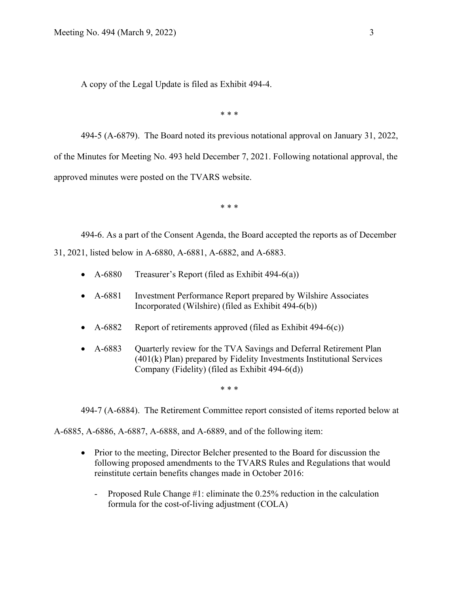A copy of the Legal Update is filed as Exhibit 494-4.

\* \* \*

494-5 (A-6879). The Board noted its previous notational approval on January 31, 2022, of the Minutes for Meeting No. 493 held December 7, 2021. Following notational approval, the approved minutes were posted on the TVARS website.

\* \* \*

494-6. As a part of the Consent Agenda, the Board accepted the reports as of December 31, 2021, listed below in A-6880, A-6881, A-6882, and A-6883.

- A-6880 Treasurer's Report (filed as Exhibit 494-6(a))
- A-6881 Investment Performance Report prepared by Wilshire Associates Incorporated (Wilshire) (filed as Exhibit 494-6(b))
- A-6882 Report of retirements approved (filed as Exhibit  $494-6(c)$ )
- A-6883 Quarterly review for the TVA Savings and Deferral Retirement Plan (401(k) Plan) prepared by Fidelity Investments Institutional Services Company (Fidelity) (filed as Exhibit 494-6(d))

\* \* \*

494-7 (A-6884). The Retirement Committee report consisted of items reported below at

A-6885, A-6886, A-6887, A-6888, and A-6889, and of the following item:

- Prior to the meeting, Director Belcher presented to the Board for discussion the following proposed amendments to the TVARS Rules and Regulations that would reinstitute certain benefits changes made in October 2016:
	- Proposed Rule Change #1: eliminate the 0.25% reduction in the calculation formula for the cost-of-living adjustment (COLA)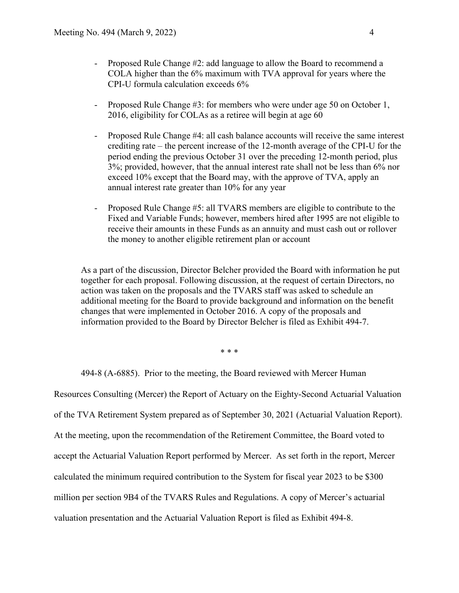- Proposed Rule Change #2: add language to allow the Board to recommend a COLA higher than the 6% maximum with TVA approval for years where the CPI-U formula calculation exceeds 6%
- Proposed Rule Change #3: for members who were under age 50 on October 1, 2016, eligibility for COLAs as a retiree will begin at age 60
- Proposed Rule Change #4: all cash balance accounts will receive the same interest crediting rate – the percent increase of the 12-month average of the CPI-U for the period ending the previous October 31 over the preceding 12-month period, plus 3%; provided, however, that the annual interest rate shall not be less than 6% nor exceed 10% except that the Board may, with the approve of TVA, apply an annual interest rate greater than 10% for any year
- Proposed Rule Change #5: all TVARS members are eligible to contribute to the Fixed and Variable Funds; however, members hired after 1995 are not eligible to receive their amounts in these Funds as an annuity and must cash out or rollover the money to another eligible retirement plan or account

As a part of the discussion, Director Belcher provided the Board with information he put together for each proposal. Following discussion, at the request of certain Directors, no action was taken on the proposals and the TVARS staff was asked to schedule an additional meeting for the Board to provide background and information on the benefit changes that were implemented in October 2016. A copy of the proposals and information provided to the Board by Director Belcher is filed as Exhibit 494-7.

\* \* \*

494-8 (A-6885). Prior to the meeting, the Board reviewed with Mercer Human

Resources Consulting (Mercer) the Report of Actuary on the Eighty-Second Actuarial Valuation of the TVA Retirement System prepared as of September 30, 2021 (Actuarial Valuation Report). At the meeting, upon the recommendation of the Retirement Committee, the Board voted to accept the Actuarial Valuation Report performed by Mercer. As set forth in the report, Mercer calculated the minimum required contribution to the System for fiscal year 2023 to be \$300 million per section 9B4 of the TVARS Rules and Regulations. A copy of Mercer's actuarial valuation presentation and the Actuarial Valuation Report is filed as Exhibit 494-8.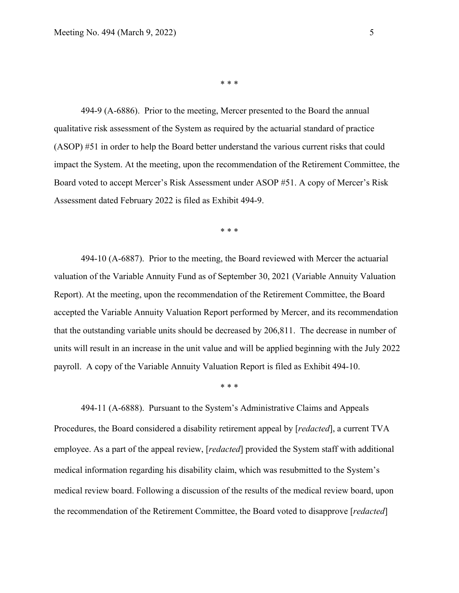\* \* \*

494-9 (A-6886). Prior to the meeting, Mercer presented to the Board the annual qualitative risk assessment of the System as required by the actuarial standard of practice (ASOP) #51 in order to help the Board better understand the various current risks that could impact the System. At the meeting, upon the recommendation of the Retirement Committee, the Board voted to accept Mercer's Risk Assessment under ASOP #51. A copy of Mercer's Risk Assessment dated February 2022 is filed as Exhibit 494-9.

\* \* \*

494-10 (A-6887). Prior to the meeting, the Board reviewed with Mercer the actuarial valuation of the Variable Annuity Fund as of September 30, 2021 (Variable Annuity Valuation Report). At the meeting, upon the recommendation of the Retirement Committee, the Board accepted the Variable Annuity Valuation Report performed by Mercer, and its recommendation that the outstanding variable units should be decreased by 206,811. The decrease in number of units will result in an increase in the unit value and will be applied beginning with the July 2022 payroll. A copy of the Variable Annuity Valuation Report is filed as Exhibit 494-10.

\* \* \*

494-11 (A-6888). Pursuant to the System's Administrative Claims and Appeals Procedures, the Board considered a disability retirement appeal by [*redacted*], a current TVA employee. As a part of the appeal review, [*redacted*] provided the System staff with additional medical information regarding his disability claim, which was resubmitted to the System's medical review board. Following a discussion of the results of the medical review board, upon the recommendation of the Retirement Committee, the Board voted to disapprove [*redacted*]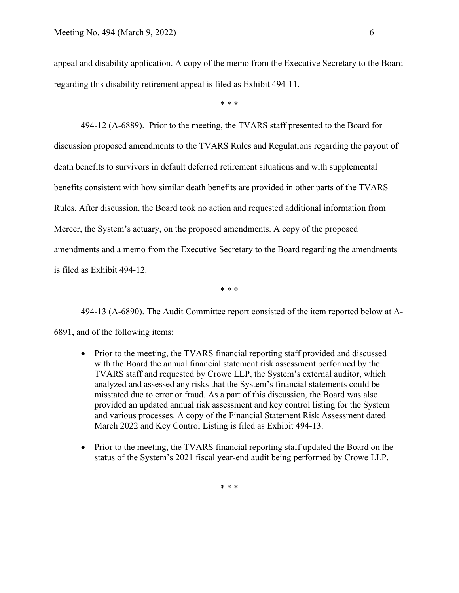appeal and disability application. A copy of the memo from the Executive Secretary to the Board regarding this disability retirement appeal is filed as Exhibit 494-11.

\* \* \*

494-12 (A-6889). Prior to the meeting, the TVARS staff presented to the Board for discussion proposed amendments to the TVARS Rules and Regulations regarding the payout of death benefits to survivors in default deferred retirement situations and with supplemental benefits consistent with how similar death benefits are provided in other parts of the TVARS Rules. After discussion, the Board took no action and requested additional information from Mercer, the System's actuary, on the proposed amendments. A copy of the proposed amendments and a memo from the Executive Secretary to the Board regarding the amendments is filed as Exhibit 494-12.

\* \* \*

494-13 (A-6890). The Audit Committee report consisted of the item reported below at A-6891, and of the following items:

- Prior to the meeting, the TVARS financial reporting staff provided and discussed with the Board the annual financial statement risk assessment performed by the TVARS staff and requested by Crowe LLP, the System's external auditor, which analyzed and assessed any risks that the System's financial statements could be misstated due to error or fraud. As a part of this discussion, the Board was also provided an updated annual risk assessment and key control listing for the System and various processes. A copy of the Financial Statement Risk Assessment dated March 2022 and Key Control Listing is filed as Exhibit 494-13.
- Prior to the meeting, the TVARS financial reporting staff updated the Board on the status of the System's 2021 fiscal year-end audit being performed by Crowe LLP.

\* \* \*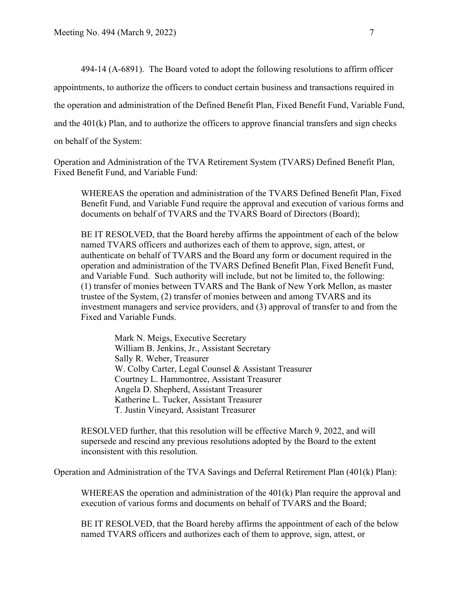494-14 (A-6891). The Board voted to adopt the following resolutions to affirm officer appointments, to authorize the officers to conduct certain business and transactions required in the operation and administration of the Defined Benefit Plan, Fixed Benefit Fund, Variable Fund, and the 401(k) Plan, and to authorize the officers to approve financial transfers and sign checks on behalf of the System:

Operation and Administration of the TVA Retirement System (TVARS) Defined Benefit Plan, Fixed Benefit Fund, and Variable Fund:

WHEREAS the operation and administration of the TVARS Defined Benefit Plan, Fixed Benefit Fund, and Variable Fund require the approval and execution of various forms and documents on behalf of TVARS and the TVARS Board of Directors (Board);

BE IT RESOLVED, that the Board hereby affirms the appointment of each of the below named TVARS officers and authorizes each of them to approve, sign, attest, or authenticate on behalf of TVARS and the Board any form or document required in the operation and administration of the TVARS Defined Benefit Plan, Fixed Benefit Fund, and Variable Fund. Such authority will include, but not be limited to, the following: (1) transfer of monies between TVARS and The Bank of New York Mellon, as master trustee of the System, (2) transfer of monies between and among TVARS and its investment managers and service providers, and (3) approval of transfer to and from the Fixed and Variable Funds.

> Mark N. Meigs, Executive Secretary William B. Jenkins, Jr., Assistant Secretary Sally R. Weber, Treasurer W. Colby Carter, Legal Counsel & Assistant Treasurer Courtney L. Hammontree, Assistant Treasurer Angela D. Shepherd, Assistant Treasurer Katherine L. Tucker, Assistant Treasurer T. Justin Vineyard, Assistant Treasurer

RESOLVED further, that this resolution will be effective March 9, 2022, and will supersede and rescind any previous resolutions adopted by the Board to the extent inconsistent with this resolution.

Operation and Administration of the TVA Savings and Deferral Retirement Plan (401(k) Plan):

WHEREAS the operation and administration of the 401(k) Plan require the approval and execution of various forms and documents on behalf of TVARS and the Board;

BE IT RESOLVED, that the Board hereby affirms the appointment of each of the below named TVARS officers and authorizes each of them to approve, sign, attest, or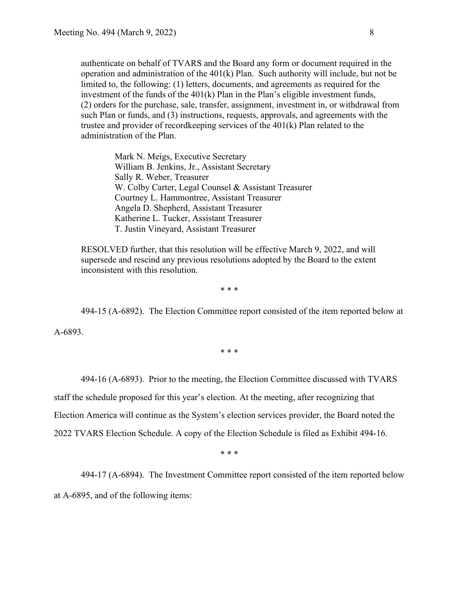authenticate on behalf of TVARS and the Board any form or document required in the operation and administration of the 401(k) Plan. Such authority will include, but not be limited to, the following: (1) letters, documents, and agreements as required for the investment of the funds of the 401(k) Plan in the Plan's eligible investment funds, (2) orders for the purchase, sale, transfer, assignment, investment in, or withdrawal from such Plan or funds, and (3) instructions, requests, approvals, and agreements with the trustee and provider of recordkeeping services of the 401(k) Plan related to the administration of the Plan.

> Mark N. Meigs, Executive Secretary William B. Jenkins, Jr., Assistant Secretary Sally R. Weber, Treasurer W. Colby Carter, Legal Counsel & Assistant Treasurer Courtney L. Hammontree, Assistant Treasurer Angela D. Shepherd, Assistant Treasurer Katherine L. Tucker, Assistant Treasurer T. Justin Vineyard, Assistant Treasurer

RESOLVED further, that this resolution will be effective March 9, 2022, and will supersede and rescind any previous resolutions adopted by the Board to the extent inconsistent with this resolution.

\* \* \*

494-15 (A-6892). The Election Committee report consisted of the item reported below at

A-6893.

\* \* \*

494-16 (A-6893). Prior to the meeting, the Election Committee discussed with TVARS

staff the schedule proposed for this year's election. At the meeting, after recognizing that

Election America will continue as the System's election services provider, the Board noted the

2022 TVARS Election Schedule. A copy of the Election Schedule is filed as Exhibit 494-16.

\* \* \*

494-17 (A-6894). The Investment Committee report consisted of the item reported below

at A-6895, and of the following items: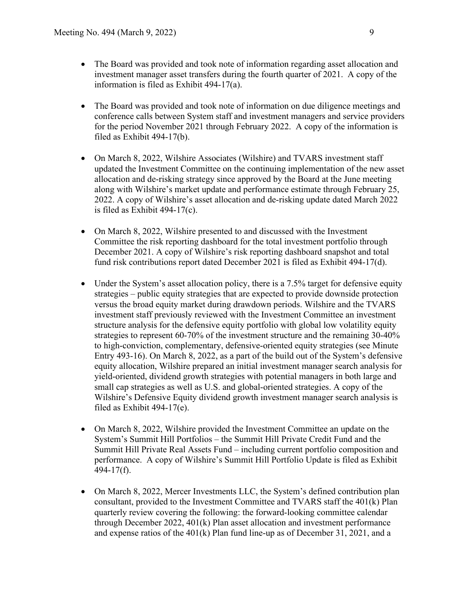- The Board was provided and took note of information regarding asset allocation and investment manager asset transfers during the fourth quarter of 2021. A copy of the information is filed as Exhibit 494-17(a).
- The Board was provided and took note of information on due diligence meetings and conference calls between System staff and investment managers and service providers for the period November 2021 through February 2022. A copy of the information is filed as Exhibit 494-17(b).
- On March 8, 2022, Wilshire Associates (Wilshire) and TVARS investment staff updated the Investment Committee on the continuing implementation of the new asset allocation and de-risking strategy since approved by the Board at the June meeting along with Wilshire's market update and performance estimate through February 25, 2022. A copy of Wilshire's asset allocation and de-risking update dated March 2022 is filed as Exhibit 494-17(c).
- On March 8, 2022, Wilshire presented to and discussed with the Investment Committee the risk reporting dashboard for the total investment portfolio through December 2021. A copy of Wilshire's risk reporting dashboard snapshot and total fund risk contributions report dated December 2021 is filed as Exhibit 494-17(d).
- Under the System's asset allocation policy, there is a 7.5% target for defensive equity strategies – public equity strategies that are expected to provide downside protection versus the broad equity market during drawdown periods. Wilshire and the TVARS investment staff previously reviewed with the Investment Committee an investment structure analysis for the defensive equity portfolio with global low volatility equity strategies to represent 60-70% of the investment structure and the remaining 30-40% to high-conviction, complementary, defensive-oriented equity strategies (see Minute Entry 493-16). On March 8, 2022, as a part of the build out of the System's defensive equity allocation, Wilshire prepared an initial investment manager search analysis for yield-oriented, dividend growth strategies with potential managers in both large and small cap strategies as well as U.S. and global-oriented strategies. A copy of the Wilshire's Defensive Equity dividend growth investment manager search analysis is filed as Exhibit 494-17(e).
- On March 8, 2022, Wilshire provided the Investment Committee an update on the System's Summit Hill Portfolios – the Summit Hill Private Credit Fund and the Summit Hill Private Real Assets Fund – including current portfolio composition and performance. A copy of Wilshire's Summit Hill Portfolio Update is filed as Exhibit 494-17(f).
- On March 8, 2022, Mercer Investments LLC, the System's defined contribution plan consultant, provided to the Investment Committee and TVARS staff the 401(k) Plan quarterly review covering the following: the forward-looking committee calendar through December 2022, 401(k) Plan asset allocation and investment performance and expense ratios of the 401(k) Plan fund line-up as of December 31, 2021, and a